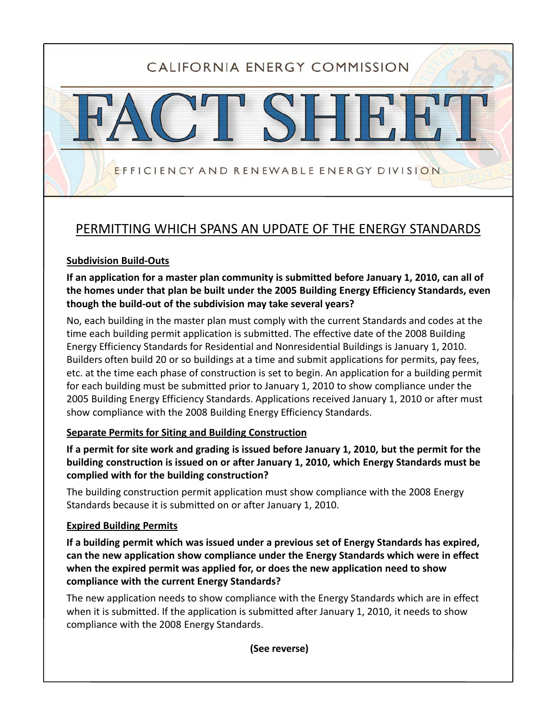# CALIFORNIA ENERGY COMMISSION

## PERMITTING WHICH SPANS AN UPDATE OF THE ENERGY STANDARDS

EFFICIENCY AND RENEWABLE ENERGY DIVISION

#### **Subdivision Build‐Outs**

**If an application for a master plan community is submitted before January 1, 2010, can all of the homes under that plan be built under the 2005 Building Energy Efficiency Standards, even though the build‐out of the subdivision may take several years?**

No, each building in the master plan must comply with the current Standards and codes at the time each building permit application is submitted. The effective date of the 2008 Building Energy Efficiency Standards for Residential and Nonresidential Buildings is January 1, 2010. Builders often build 20 or so buildings at a time and submit applications for permits, pay fees, etc. at the time each phase of construction is set to begin. An application for a building permit for each building must be submitted prior to January 1, 2010 to show compliance under the 2005 Building Energy Efficiency Standards. Applications received January 1, 2010 or after must show compliance with the 2008 Building Energy Efficiency Standards.

#### **Separate Permits for Siting and Building Construction**

If a permit for site work and grading is issued before January 1, 2010, but the permit for the **building construction is issued on or after January 1, 2010, which Energy Standards must be complied with for the building construction?**

The building construction permit application must show compliance with the 2008 Energy Standards because it is submitted on or after January 1, 2010.

#### **Expired Building Permits**

If a building permit which was issued under a previous set of Energy Standards has expired, **can the new application show compliance under the Energy Standards which were in effect when the expired permit was applied for, or does the new application need to show compliance with the current Energy Standards?**

The new application needs to show compliance with the Energy Standards which are in effect when it is submitted. If the application is submitted after January 1, 2010, it needs to show compliance with the 2008 Energy Standards.

**(See reverse)**